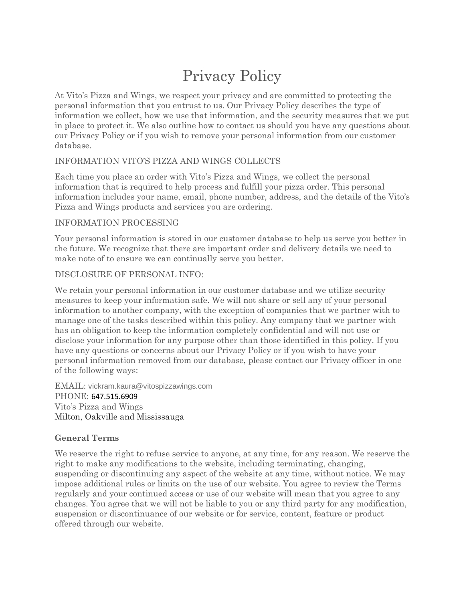# Privacy Policy

At Vito's Pizza and Wings, we respect your privacy and are committed to protecting the personal information that you entrust to us. Our Privacy Policy describes the type of information we collect, how we use that information, and the security measures that we put in place to protect it. We also outline how to contact us should you have any questions about our Privacy Policy or if you wish to remove your personal information from our customer database.

## INFORMATION VITO'S PIZZA AND WINGS COLLECTS

Each time you place an order with Vito's Pizza and Wings, we collect the personal information that is required to help process and fulfill your pizza order. This personal information includes your name, email, phone number, address, and the details of the Vito's Pizza and Wings products and services you are ordering.

## INFORMATION PROCESSING

Your personal information is stored in our customer database to help us serve you better in the future. We recognize that there are important order and delivery details we need to make note of to ensure we can continually serve you better.

## DISCLOSURE OF PERSONAL INFO:

We retain your personal information in our customer database and we utilize security measures to keep your information safe. We will not share or sell any of your personal information to another company, with the exception of companies that we partner with to manage one of the tasks described within this policy. Any company that we partner with has an obligation to keep the information completely confidential and will not use or disclose your information for any purpose other than those identified in this policy. If you have any questions or concerns about our Privacy Policy or if you wish to have your personal information removed from our database, please contact our Privacy officer in one of the following ways:

EMAIL: vickram.kaura@vitospizzawings.com PHONE: 647.515.6909 Vito's Pizza and Wings Milton, Oakville and Mississauga

## **General Terms**

We reserve the right to refuse service to anyone, at any time, for any reason. We reserve the right to make any modifications to the website, including terminating, changing, suspending or discontinuing any aspect of the website at any time, without notice. We may impose additional rules or limits on the use of our website. You agree to review the Terms regularly and your continued access or use of our website will mean that you agree to any changes. You agree that we will not be liable to you or any third party for any modification, suspension or discontinuance of our website or for service, content, feature or product offered through our website.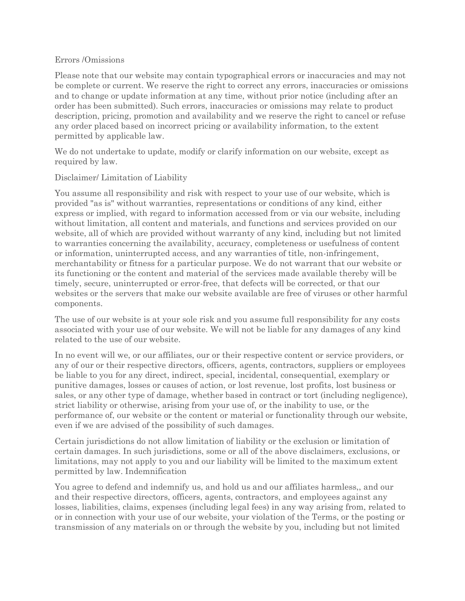#### Errors /Omissions

Please note that our website may contain typographical errors or inaccuracies and may not be complete or current. We reserve the right to correct any errors, inaccuracies or omissions and to change or update information at any time, without prior notice (including after an order has been submitted). Such errors, inaccuracies or omissions may relate to product description, pricing, promotion and availability and we reserve the right to cancel or refuse any order placed based on incorrect pricing or availability information, to the extent permitted by applicable law.

We do not undertake to update, modify or clarify information on our website, except as required by law.

## Disclaimer/ Limitation of Liability

You assume all responsibility and risk with respect to your use of our website, which is provided "as is" without warranties, representations or conditions of any kind, either express or implied, with regard to information accessed from or via our website, including without limitation, all content and materials, and functions and services provided on our website, all of which are provided without warranty of any kind, including but not limited to warranties concerning the availability, accuracy, completeness or usefulness of content or information, uninterrupted access, and any warranties of title, non-infringement, merchantability or fitness for a particular purpose. We do not warrant that our website or its functioning or the content and material of the services made available thereby will be timely, secure, uninterrupted or error-free, that defects will be corrected, or that our websites or the servers that make our website available are free of viruses or other harmful components.

The use of our website is at your sole risk and you assume full responsibility for any costs associated with your use of our website. We will not be liable for any damages of any kind related to the use of our website.

In no event will we, or our affiliates, our or their respective content or service providers, or any of our or their respective directors, officers, agents, contractors, suppliers or employees be liable to you for any direct, indirect, special, incidental, consequential, exemplary or punitive damages, losses or causes of action, or lost revenue, lost profits, lost business or sales, or any other type of damage, whether based in contract or tort (including negligence), strict liability or otherwise, arising from your use of, or the inability to use, or the performance of, our website or the content or material or functionality through our website, even if we are advised of the possibility of such damages.

Certain jurisdictions do not allow limitation of liability or the exclusion or limitation of certain damages. In such jurisdictions, some or all of the above disclaimers, exclusions, or limitations, may not apply to you and our liability will be limited to the maximum extent permitted by law. Indemnification

You agree to defend and indemnify us, and hold us and our affiliates harmless,, and our and their respective directors, officers, agents, contractors, and employees against any losses, liabilities, claims, expenses (including legal fees) in any way arising from, related to or in connection with your use of our website, your violation of the Terms, or the posting or transmission of any materials on or through the website by you, including but not limited